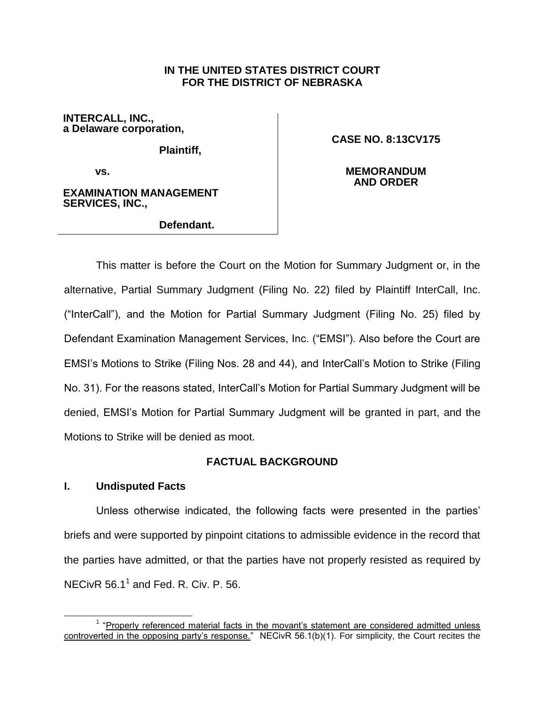## **IN THE UNITED STATES DISTRICT COURT FOR THE DISTRICT OF NEBRASKA**

**INTERCALL, INC., a Delaware corporation,**

**Plaintiff,** 

**CASE NO. 8:13CV175**

**vs.** 

**EXAMINATION MANAGEMENT SERVICES, INC.,**

**Defendant.**

**MEMORANDUM AND ORDER**

This matter is before the Court on the Motion for Summary Judgment or, in the alternative, Partial Summary Judgment (Filing No. 22) filed by Plaintiff InterCall, Inc. ("InterCall"), and the Motion for Partial Summary Judgment (Filing No. 25) filed by Defendant Examination Management Services, Inc. ("EMSI"). Also before the Court are EMSI's Motions to Strike (Filing Nos. 28 and 44), and InterCall's Motion to Strike (Filing No. 31). For the reasons stated, InterCall's Motion for Partial Summary Judgment will be denied, EMSI's Motion for Partial Summary Judgment will be granted in part, and the Motions to Strike will be denied as moot.

# **FACTUAL BACKGROUND**

## **I. Undisputed Facts**

Unless otherwise indicated, the following facts were presented in the parties' briefs and were supported by pinpoint citations to admissible evidence in the record that the parties have admitted, or that the parties have not properly resisted as required by NECivR  $56.1^1$  and Fed. R. Civ. P. 56.

 $\overline{a}$ <sup>1</sup> "Properly referenced material facts in the movant's statement are considered admitted unless controverted in the opposing party's response." NECivR 56.1(b)(1). For simplicity, the Court recites the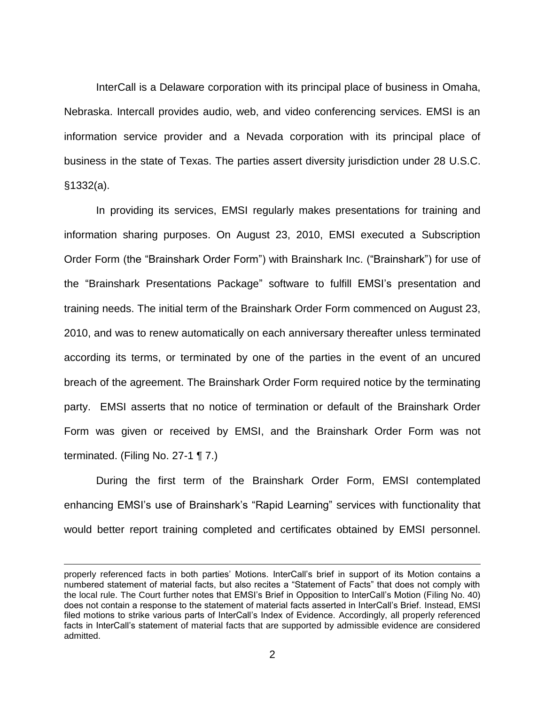InterCall is a Delaware corporation with its principal place of business in Omaha, Nebraska. Intercall provides audio, web, and video conferencing services. EMSI is an information service provider and a Nevada corporation with its principal place of business in the state of Texas. The parties assert diversity jurisdiction under 28 U.S.C. §1332(a).

In providing its services, EMSI regularly makes presentations for training and information sharing purposes. On August 23, 2010, EMSI executed a Subscription Order Form (the "Brainshark Order Form") with Brainshark Inc. ("Brainshark") for use of the "Brainshark Presentations Package" software to fulfill EMSI's presentation and training needs. The initial term of the Brainshark Order Form commenced on August 23, 2010, and was to renew automatically on each anniversary thereafter unless terminated according its terms, or terminated by one of the parties in the event of an uncured breach of the agreement. The Brainshark Order Form required notice by the terminating party. EMSI asserts that no notice of termination or default of the Brainshark Order Form was given or received by EMSI, and the Brainshark Order Form was not terminated. (Filing No. 27-1 ¶ 7.)

During the first term of the Brainshark Order Form, EMSI contemplated enhancing EMSI's use of Brainshark's "Rapid Learning" services with functionality that would better report training completed and certificates obtained by EMSI personnel.

 $\overline{a}$ 

properly referenced facts in both parties' Motions. InterCall's brief in support of its Motion contains a numbered statement of material facts, but also recites a "Statement of Facts" that does not comply with the local rule. The Court further notes that EMSI's Brief in Opposition to InterCall's Motion (Filing No. 40) does not contain a response to the statement of material facts asserted in InterCall's Brief. Instead, EMSI filed motions to strike various parts of InterCall's Index of Evidence. Accordingly, all properly referenced facts in InterCall's statement of material facts that are supported by admissible evidence are considered admitted.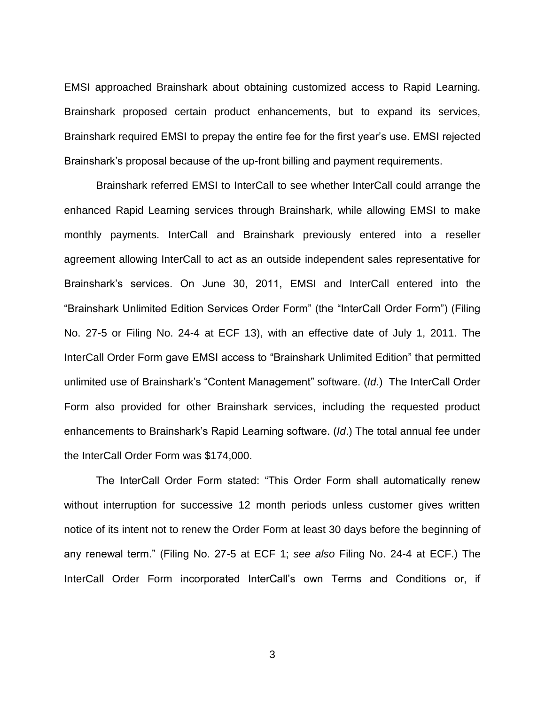EMSI approached Brainshark about obtaining customized access to Rapid Learning. Brainshark proposed certain product enhancements, but to expand its services, Brainshark required EMSI to prepay the entire fee for the first year's use. EMSI rejected Brainshark's proposal because of the up-front billing and payment requirements.

Brainshark referred EMSI to InterCall to see whether InterCall could arrange the enhanced Rapid Learning services through Brainshark, while allowing EMSI to make monthly payments. InterCall and Brainshark previously entered into a reseller agreement allowing InterCall to act as an outside independent sales representative for Brainshark's services. On June 30, 2011, EMSI and InterCall entered into the "Brainshark Unlimited Edition Services Order Form" (the "InterCall Order Form") (Filing No. 27-5 or Filing No. 24-4 at ECF 13), with an effective date of July 1, 2011. The InterCall Order Form gave EMSI access to "Brainshark Unlimited Edition" that permitted unlimited use of Brainshark's "Content Management" software. (*Id*.) The InterCall Order Form also provided for other Brainshark services, including the requested product enhancements to Brainshark's Rapid Learning software. (*Id*.) The total annual fee under the InterCall Order Form was \$174,000.

The InterCall Order Form stated: "This Order Form shall automatically renew without interruption for successive 12 month periods unless customer gives written notice of its intent not to renew the Order Form at least 30 days before the beginning of any renewal term." (Filing No. 27-5 at ECF 1; *see also* Filing No. 24-4 at ECF.) The InterCall Order Form incorporated InterCall's own Terms and Conditions or, if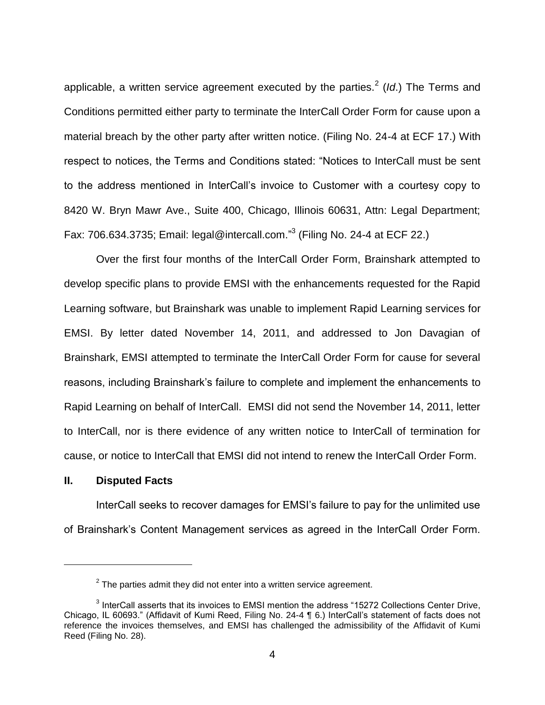applicable, a written service agreement executed by the parties.<sup>2</sup> (ld.) The Terms and Conditions permitted either party to terminate the InterCall Order Form for cause upon a material breach by the other party after written notice. (Filing No. 24-4 at ECF 17.) With respect to notices, the Terms and Conditions stated: "Notices to InterCall must be sent to the address mentioned in InterCall's invoice to Customer with a courtesy copy to 8420 W. Bryn Mawr Ave., Suite 400, Chicago, Illinois 60631, Attn: Legal Department; Fax: 706.634.3735; Email: legal@intercall.com."<sup>3</sup> (Filing No. 24-4 at ECF 22.)

Over the first four months of the InterCall Order Form, Brainshark attempted to develop specific plans to provide EMSI with the enhancements requested for the Rapid Learning software, but Brainshark was unable to implement Rapid Learning services for EMSI. By letter dated November 14, 2011, and addressed to Jon Davagian of Brainshark, EMSI attempted to terminate the InterCall Order Form for cause for several reasons, including Brainshark's failure to complete and implement the enhancements to Rapid Learning on behalf of InterCall. EMSI did not send the November 14, 2011, letter to InterCall, nor is there evidence of any written notice to InterCall of termination for cause, or notice to InterCall that EMSI did not intend to renew the InterCall Order Form.

### **II. Disputed Facts**

 $\overline{a}$ 

InterCall seeks to recover damages for EMSI's failure to pay for the unlimited use of Brainshark's Content Management services as agreed in the InterCall Order Form.

 $2$  The parties admit they did not enter into a written service agreement.

 $3$  InterCall asserts that its invoices to EMSI mention the address "15272 Collections Center Drive, Chicago, IL 60693." (Affidavit of Kumi Reed, Filing No. 24-4 ¶ 6.) InterCall's statement of facts does not reference the invoices themselves, and EMSI has challenged the admissibility of the Affidavit of Kumi Reed (Filing No. 28).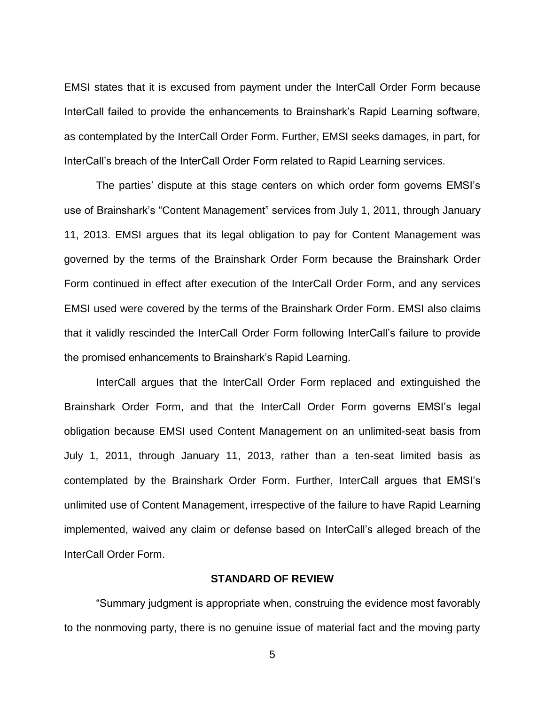EMSI states that it is excused from payment under the InterCall Order Form because InterCall failed to provide the enhancements to Brainshark's Rapid Learning software, as contemplated by the InterCall Order Form. Further, EMSI seeks damages, in part, for InterCall's breach of the InterCall Order Form related to Rapid Learning services.

The parties' dispute at this stage centers on which order form governs EMSI's use of Brainshark's "Content Management" services from July 1, 2011, through January 11, 2013. EMSI argues that its legal obligation to pay for Content Management was governed by the terms of the Brainshark Order Form because the Brainshark Order Form continued in effect after execution of the InterCall Order Form, and any services EMSI used were covered by the terms of the Brainshark Order Form. EMSI also claims that it validly rescinded the InterCall Order Form following InterCall's failure to provide the promised enhancements to Brainshark's Rapid Learning.

InterCall argues that the InterCall Order Form replaced and extinguished the Brainshark Order Form, and that the InterCall Order Form governs EMSI's legal obligation because EMSI used Content Management on an unlimited-seat basis from July 1, 2011, through January 11, 2013, rather than a ten-seat limited basis as contemplated by the Brainshark Order Form. Further, InterCall argues that EMSI's unlimited use of Content Management, irrespective of the failure to have Rapid Learning implemented, waived any claim or defense based on InterCall's alleged breach of the InterCall Order Form.

### **STANDARD OF REVIEW**

"Summary judgment is appropriate when, construing the evidence most favorably to the nonmoving party, there is no genuine issue of material fact and the moving party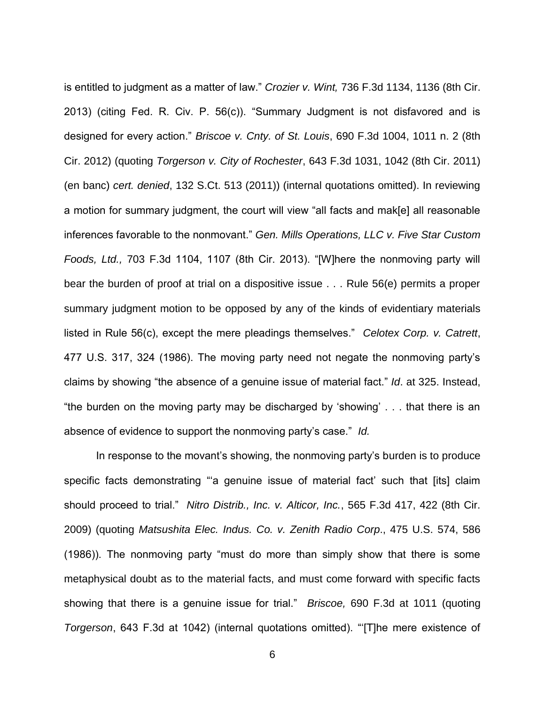is entitled to judgment as a matter of law." *Crozier v. Wint,* 736 F.3d 1134, 1136 (8th Cir. 2013) (citing Fed. R. Civ. P. 56(c)). "Summary Judgment is not disfavored and is designed for every action." *Briscoe v. Cnty. of St. Louis*, 690 F.3d 1004, 1011 n. 2 (8th Cir. 2012) (quoting *Torgerson v. City of Rochester*, 643 F.3d 1031, 1042 (8th Cir. 2011) (en banc) *cert. denied*, 132 S.Ct. 513 (2011)) (internal quotations omitted). In reviewing a motion for summary judgment, the court will view "all facts and mak[e] all reasonable inferences favorable to the nonmovant." *Gen. Mills Operations, LLC v. Five Star Custom Foods, Ltd.,* 703 F.3d 1104, 1107 (8th Cir. 2013). "[W]here the nonmoving party will bear the burden of proof at trial on a dispositive issue . . . Rule 56(e) permits a proper summary judgment motion to be opposed by any of the kinds of evidentiary materials listed in Rule 56(c), except the mere pleadings themselves." *Celotex Corp. v. Catrett*, 477 U.S. 317, 324 (1986). The moving party need not negate the nonmoving party's claims by showing "the absence of a genuine issue of material fact." *Id*. at 325. Instead, "the burden on the moving party may be discharged by 'showing' . . . that there is an absence of evidence to support the nonmoving party's case." *Id.*

In response to the movant's showing, the nonmoving party's burden is to produce specific facts demonstrating "'a genuine issue of material fact' such that [its] claim should proceed to trial." *Nitro Distrib., Inc. v. Alticor, Inc.*, 565 F.3d 417, 422 (8th Cir. 2009) (quoting *Matsushita Elec. Indus. Co. v. Zenith Radio Corp*., 475 U.S. 574, 586 (1986)). The nonmoving party "must do more than simply show that there is some metaphysical doubt as to the material facts, and must come forward with specific facts showing that there is a genuine issue for trial." *Briscoe,* 690 F.3d at 1011 (quoting *Torgerson*, 643 F.3d at 1042) (internal quotations omitted). "'[T]he mere existence of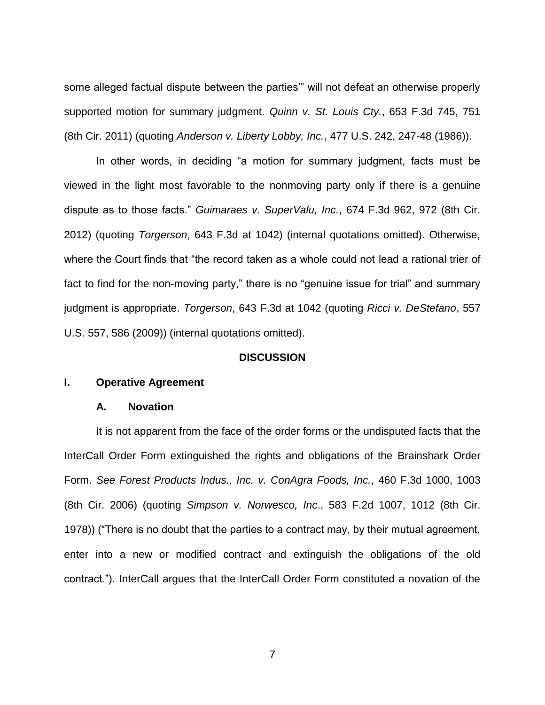some alleged factual dispute between the parties'" will not defeat an otherwise properly supported motion for summary judgment. *Quinn v. St. Louis Cty.*, 653 F.3d 745, 751 (8th Cir. 2011) (quoting *Anderson v. Liberty Lobby, Inc.*, 477 U.S. 242, 247-48 (1986)).

In other words, in deciding "a motion for summary judgment, facts must be viewed in the light most favorable to the nonmoving party only if there is a genuine dispute as to those facts." *Guimaraes v. SuperValu, Inc.*, 674 F.3d 962, 972 (8th Cir. 2012) (quoting *Torgerson*, 643 F.3d at 1042) (internal quotations omitted). Otherwise, where the Court finds that "the record taken as a whole could not lead a rational trier of fact to find for the non-moving party," there is no "genuine issue for trial" and summary judgment is appropriate. *Torgerson*, 643 F.3d at 1042 (quoting *Ricci v. DeStefano*, 557 U.S. 557, 586 (2009)) (internal quotations omitted).

## **DISCUSSION**

## **I. Operative Agreement**

#### **A. Novation**

It is not apparent from the face of the order forms or the undisputed facts that the InterCall Order Form extinguished the rights and obligations of the Brainshark Order Form. *See Forest Products Indus., Inc. v. ConAgra Foods, Inc.*, 460 F.3d 1000, 1003 (8th Cir. 2006) (quoting *Simpson v. Norwesco, Inc*., 583 F.2d 1007, 1012 (8th Cir. 1978)) ("There is no doubt that the parties to a contract may, by their mutual agreement, enter into a new or modified contract and extinguish the obligations of the old contract."). InterCall argues that the InterCall Order Form constituted a novation of the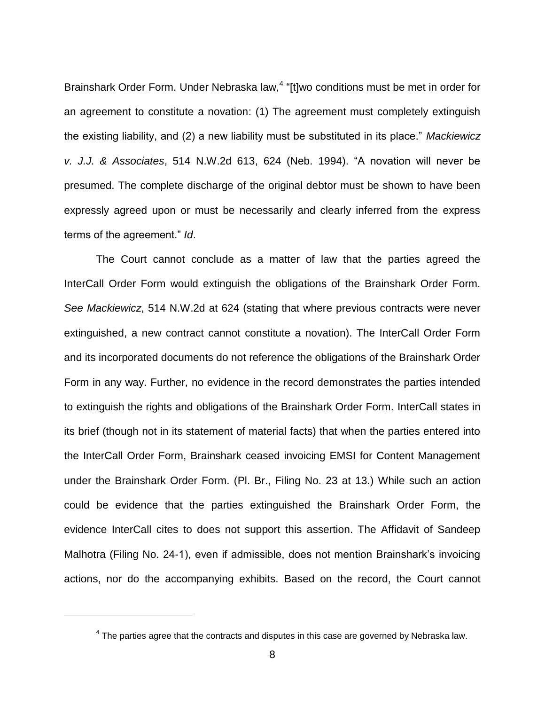Brainshark Order Form. Under Nebraska law,<sup>4</sup> "[t]wo conditions must be met in order for an agreement to constitute a novation: (1) The agreement must completely extinguish the existing liability, and (2) a new liability must be substituted in its place." *Mackiewicz v. J.J. & Associates*, 514 N.W.2d 613, 624 (Neb. 1994). "A novation will never be presumed. The complete discharge of the original debtor must be shown to have been expressly agreed upon or must be necessarily and clearly inferred from the express terms of the agreement." *Id*.

The Court cannot conclude as a matter of law that the parties agreed the InterCall Order Form would extinguish the obligations of the Brainshark Order Form. *See Mackiewicz*, 514 N.W.2d at 624 (stating that where previous contracts were never extinguished, a new contract cannot constitute a novation). The InterCall Order Form and its incorporated documents do not reference the obligations of the Brainshark Order Form in any way. Further, no evidence in the record demonstrates the parties intended to extinguish the rights and obligations of the Brainshark Order Form. InterCall states in its brief (though not in its statement of material facts) that when the parties entered into the InterCall Order Form, Brainshark ceased invoicing EMSI for Content Management under the Brainshark Order Form. (Pl. Br., Filing No. 23 at 13.) While such an action could be evidence that the parties extinguished the Brainshark Order Form, the evidence InterCall cites to does not support this assertion. The Affidavit of Sandeep Malhotra (Filing No. 24-1), even if admissible, does not mention Brainshark's invoicing actions, nor do the accompanying exhibits. Based on the record, the Court cannot

 $\overline{a}$ 

 $4$  The parties agree that the contracts and disputes in this case are governed by Nebraska law.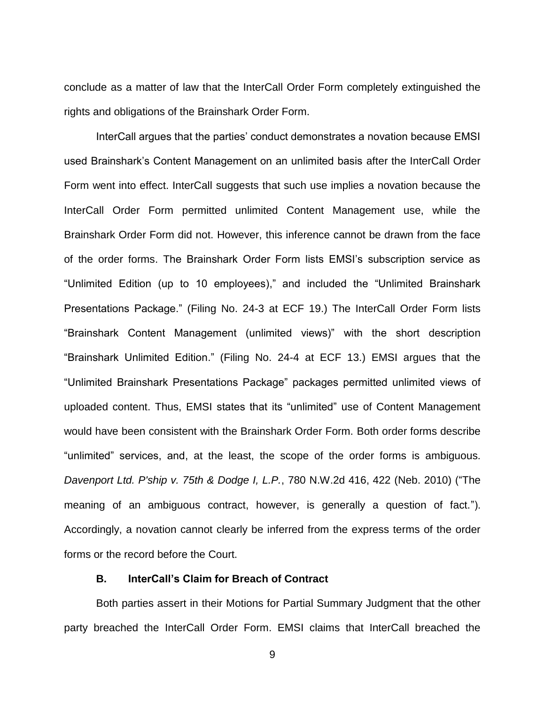conclude as a matter of law that the InterCall Order Form completely extinguished the rights and obligations of the Brainshark Order Form.

InterCall argues that the parties' conduct demonstrates a novation because EMSI used Brainshark's Content Management on an unlimited basis after the InterCall Order Form went into effect. InterCall suggests that such use implies a novation because the InterCall Order Form permitted unlimited Content Management use, while the Brainshark Order Form did not. However, this inference cannot be drawn from the face of the order forms. The Brainshark Order Form lists EMSI's subscription service as "Unlimited Edition (up to 10 employees)," and included the "Unlimited Brainshark Presentations Package." (Filing No. 24-3 at ECF 19.) The InterCall Order Form lists "Brainshark Content Management (unlimited views)" with the short description "Brainshark Unlimited Edition." (Filing No. 24-4 at ECF 13.) EMSI argues that the "Unlimited Brainshark Presentations Package" packages permitted unlimited views of uploaded content. Thus, EMSI states that its "unlimited" use of Content Management would have been consistent with the Brainshark Order Form. Both order forms describe "unlimited" services, and, at the least, the scope of the order forms is ambiguous. *Davenport Ltd. P'ship v. 75th & Dodge I, L.P.*, 780 N.W.2d 416, 422 (Neb. 2010) ("The meaning of an ambiguous contract, however, is generally a question of fact."). Accordingly, a novation cannot clearly be inferred from the express terms of the order forms or the record before the Court.

# **B. InterCall's Claim for Breach of Contract**

Both parties assert in their Motions for Partial Summary Judgment that the other party breached the InterCall Order Form. EMSI claims that InterCall breached the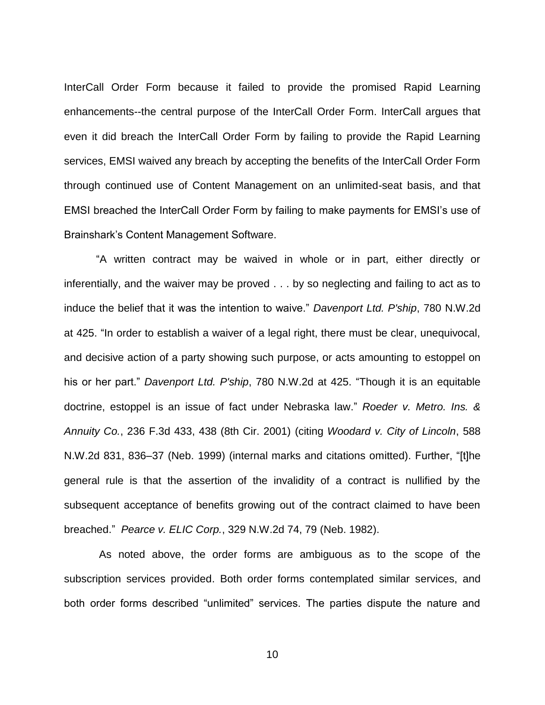InterCall Order Form because it failed to provide the promised Rapid Learning enhancements--the central purpose of the InterCall Order Form. InterCall argues that even it did breach the InterCall Order Form by failing to provide the Rapid Learning services, EMSI waived any breach by accepting the benefits of the InterCall Order Form through continued use of Content Management on an unlimited-seat basis, and that EMSI breached the InterCall Order Form by failing to make payments for EMSI's use of Brainshark's Content Management Software.

"A written contract may be waived in whole or in part, either directly or inferentially, and the waiver may be proved . . . by so neglecting and failing to act as to induce the belief that it was the intention to waive." *Davenport Ltd. P'ship*, 780 N.W.2d at 425. "In order to establish a waiver of a legal right, there must be clear, unequivocal, and decisive action of a party showing such purpose, or acts amounting to estoppel on his or her part." *Davenport Ltd. P'ship*, 780 N.W.2d at 425. "Though it is an equitable doctrine, estoppel is an issue of fact under Nebraska law." *Roeder v. Metro. Ins. & Annuity Co.*, 236 F.3d 433, 438 (8th Cir. 2001) (citing *Woodard v. City of Lincoln*, 588 N.W.2d 831, 836–37 (Neb. 1999) (internal marks and citations omitted). Further, "[t]he general rule is that the assertion of the invalidity of a contract is nullified by the subsequent acceptance of benefits growing out of the contract claimed to have been breached." *Pearce v. ELIC Corp.*, 329 N.W.2d 74, 79 (Neb. 1982).

As noted above, the order forms are ambiguous as to the scope of the subscription services provided. Both order forms contemplated similar services, and both order forms described "unlimited" services. The parties dispute the nature and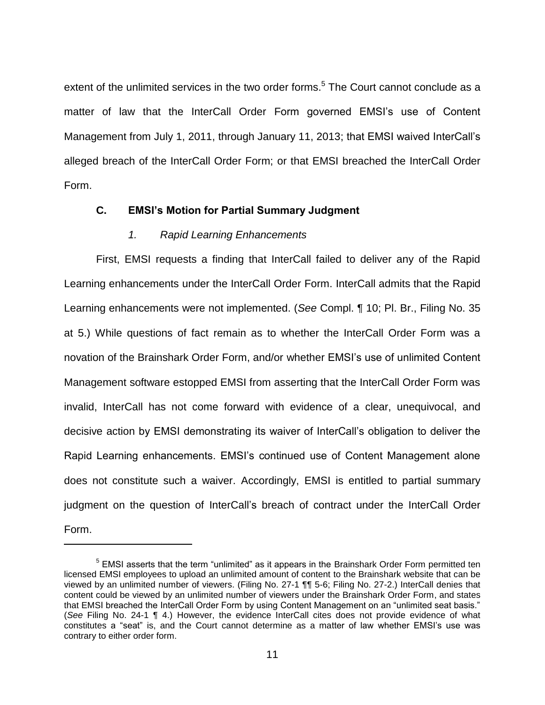extent of the unlimited services in the two order forms.<sup>5</sup> The Court cannot conclude as a matter of law that the InterCall Order Form governed EMSI's use of Content Management from July 1, 2011, through January 11, 2013; that EMSI waived InterCall's alleged breach of the InterCall Order Form; or that EMSI breached the InterCall Order Form.

## **C. EMSI's Motion for Partial Summary Judgment**

## *1. Rapid Learning Enhancements*

 $\overline{a}$ 

First, EMSI requests a finding that InterCall failed to deliver any of the Rapid Learning enhancements under the InterCall Order Form. InterCall admits that the Rapid Learning enhancements were not implemented. (*See* Compl. ¶ 10; Pl. Br., Filing No. 35 at 5.) While questions of fact remain as to whether the InterCall Order Form was a novation of the Brainshark Order Form, and/or whether EMSI's use of unlimited Content Management software estopped EMSI from asserting that the InterCall Order Form was invalid, InterCall has not come forward with evidence of a clear, unequivocal, and decisive action by EMSI demonstrating its waiver of InterCall's obligation to deliver the Rapid Learning enhancements. EMSI's continued use of Content Management alone does not constitute such a waiver. Accordingly, EMSI is entitled to partial summary judgment on the question of InterCall's breach of contract under the InterCall Order Form.

 $5$  EMSI asserts that the term "unlimited" as it appears in the Brainshark Order Form permitted ten licensed EMSI employees to upload an unlimited amount of content to the Brainshark website that can be viewed by an unlimited number of viewers. (Filing No. 27-1 ¶¶ 5-6; Filing No. 27-2.) InterCall denies that content could be viewed by an unlimited number of viewers under the Brainshark Order Form, and states that EMSI breached the InterCall Order Form by using Content Management on an "unlimited seat basis." (*See* Filing No. 24-1 ¶ 4.) However, the evidence InterCall cites does not provide evidence of what constitutes a "seat" is, and the Court cannot determine as a matter of law whether EMSI's use was contrary to either order form.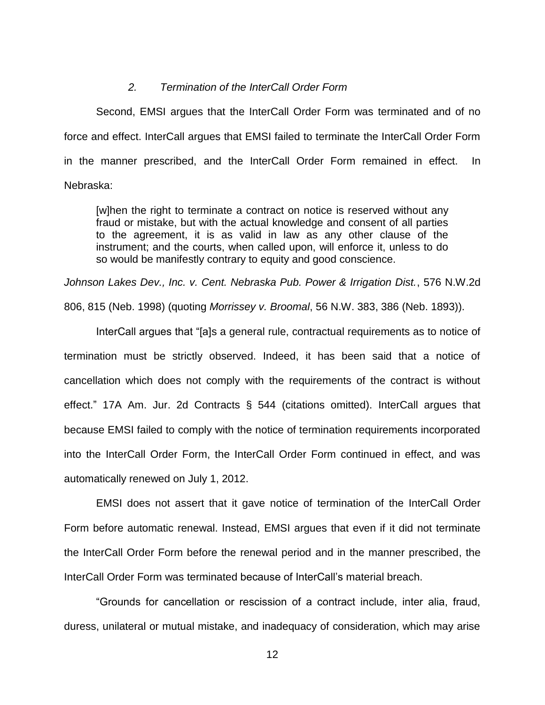#### *2. Termination of the InterCall Order Form*

Second, EMSI argues that the InterCall Order Form was terminated and of no force and effect. InterCall argues that EMSI failed to terminate the InterCall Order Form in the manner prescribed, and the InterCall Order Form remained in effect. In Nebraska:

[w]hen the right to terminate a contract on notice is reserved without any fraud or mistake, but with the actual knowledge and consent of all parties to the agreement, it is as valid in law as any other clause of the instrument; and the courts, when called upon, will enforce it, unless to do so would be manifestly contrary to equity and good conscience.

*Johnson Lakes Dev., Inc. v. Cent. Nebraska Pub. Power & Irrigation Dist.*, 576 N.W.2d

806, 815 (Neb. 1998) (quoting *Morrissey v. Broomal*, 56 N.W. 383, 386 (Neb. 1893)).

InterCall argues that "[a]s a general rule, contractual requirements as to notice of termination must be strictly observed. Indeed, it has been said that a notice of cancellation which does not comply with the requirements of the contract is without effect." 17A Am. Jur. 2d Contracts § 544 (citations omitted). InterCall argues that because EMSI failed to comply with the notice of termination requirements incorporated into the InterCall Order Form, the InterCall Order Form continued in effect, and was automatically renewed on July 1, 2012.

EMSI does not assert that it gave notice of termination of the InterCall Order Form before automatic renewal. Instead, EMSI argues that even if it did not terminate the InterCall Order Form before the renewal period and in the manner prescribed, the InterCall Order Form was terminated because of InterCall's material breach.

"Grounds for cancellation or rescission of a contract include, inter alia, fraud, duress, unilateral or mutual mistake, and inadequacy of consideration, which may arise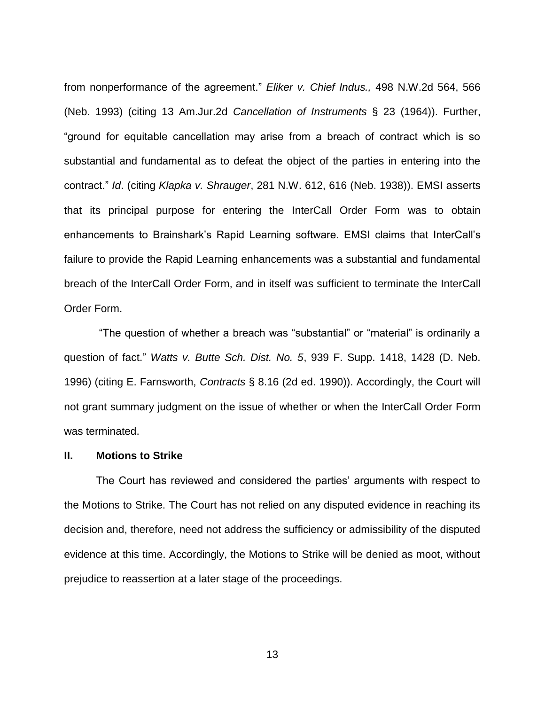from nonperformance of the agreement." *Eliker v. Chief Indus.,* 498 N.W.2d 564, 566 (Neb. 1993) (citing 13 Am.Jur.2d *Cancellation of Instruments* § 23 (1964)). Further, "ground for equitable cancellation may arise from a breach of contract which is so substantial and fundamental as to defeat the object of the parties in entering into the contract." *Id*. (citing *Klapka v. Shrauger*, 281 N.W. 612, 616 (Neb. 1938)). EMSI asserts that its principal purpose for entering the InterCall Order Form was to obtain enhancements to Brainshark's Rapid Learning software. EMSI claims that InterCall's failure to provide the Rapid Learning enhancements was a substantial and fundamental breach of the InterCall Order Form, and in itself was sufficient to terminate the InterCall Order Form.

"The question of whether a breach was "substantial" or "material" is ordinarily a question of fact." *Watts v. Butte Sch. Dist. No. 5*, 939 F. Supp. 1418, 1428 (D. Neb. 1996) (citing E. Farnsworth, *Contracts* § 8.16 (2d ed. 1990)). Accordingly, the Court will not grant summary judgment on the issue of whether or when the InterCall Order Form was terminated.

#### **II. Motions to Strike**

The Court has reviewed and considered the parties' arguments with respect to the Motions to Strike. The Court has not relied on any disputed evidence in reaching its decision and, therefore, need not address the sufficiency or admissibility of the disputed evidence at this time. Accordingly, the Motions to Strike will be denied as moot, without prejudice to reassertion at a later stage of the proceedings.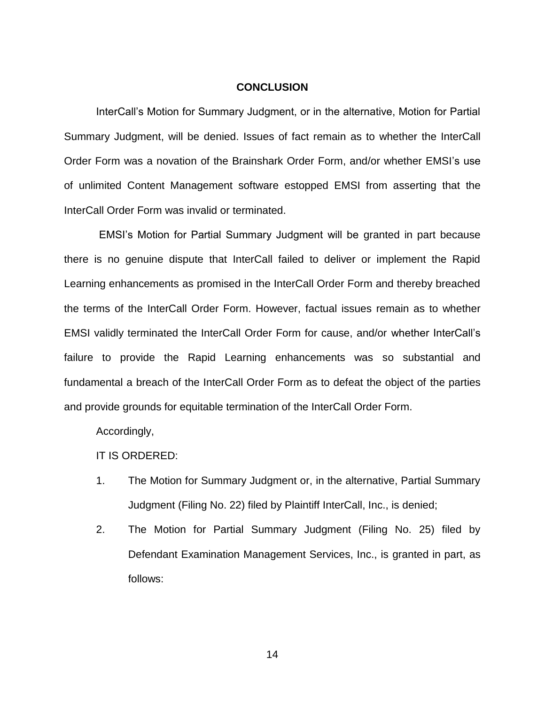#### **CONCLUSION**

InterCall's Motion for Summary Judgment, or in the alternative, Motion for Partial Summary Judgment, will be denied. Issues of fact remain as to whether the InterCall Order Form was a novation of the Brainshark Order Form, and/or whether EMSI's use of unlimited Content Management software estopped EMSI from asserting that the InterCall Order Form was invalid or terminated.

EMSI's Motion for Partial Summary Judgment will be granted in part because there is no genuine dispute that InterCall failed to deliver or implement the Rapid Learning enhancements as promised in the InterCall Order Form and thereby breached the terms of the InterCall Order Form. However, factual issues remain as to whether EMSI validly terminated the InterCall Order Form for cause, and/or whether InterCall's failure to provide the Rapid Learning enhancements was so substantial and fundamental a breach of the InterCall Order Form as to defeat the object of the parties and provide grounds for equitable termination of the InterCall Order Form.

Accordingly,

IT IS ORDERED:

- 1. The Motion for Summary Judgment or, in the alternative, Partial Summary Judgment (Filing No. 22) filed by Plaintiff InterCall, Inc., is denied;
- 2. The Motion for Partial Summary Judgment (Filing No. 25) filed by Defendant Examination Management Services, Inc., is granted in part, as follows: